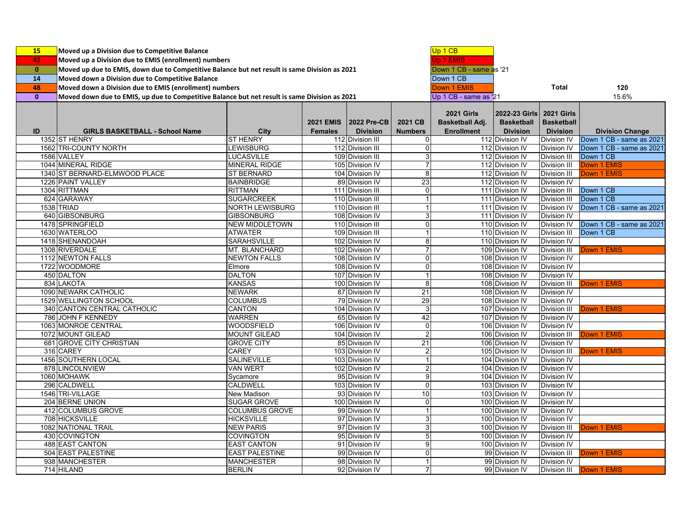| 15           | Moved up a Division due to Competitive Balance                                                |                       |                  |                    |                         | Up 1 CB                 |                   |                     |                          |
|--------------|-----------------------------------------------------------------------------------------------|-----------------------|------------------|--------------------|-------------------------|-------------------------|-------------------|---------------------|--------------------------|
| 43           | Moved up a Division due to EMIS (enrollment) numbers                                          |                       |                  |                    |                         | Jp 1 EMIS               |                   |                     |                          |
|              |                                                                                               |                       |                  |                    |                         |                         |                   |                     |                          |
| $\mathbf{0}$ | Moved up due to EMIS, down due to Competitive Balance but net result is same Division as 2021 |                       |                  |                    |                         | Down 1 CB - same as '21 |                   |                     |                          |
| 14           | Moved down a Division due to Competitive Balance                                              |                       |                  |                    |                         | Down 1 CB               |                   |                     |                          |
| 48           | Moved down a Division due to EMIS (enrollment) numbers                                        |                       |                  |                    |                         | Down 1 EMIS             |                   | <b>Total</b>        | 120                      |
| $\mathbf{0}$ | Moved down due to EMIS, up due to Competitive Balance but net result is same Division as 2021 |                       |                  |                    |                         | Up 1 CB - same as '21   |                   |                     | 15.6%                    |
|              |                                                                                               |                       |                  |                    |                         |                         |                   |                     |                          |
|              |                                                                                               |                       |                  |                    |                         | <b>2021 Girls</b>       | 2022-23 Girls     | <b>2021 Girls</b>   |                          |
|              |                                                                                               |                       | <b>2021 EMIS</b> | <b>2022 Pre-CB</b> | 2021 CB                 | Basketball Adj.         | <b>Basketball</b> | <b>Basketball</b>   |                          |
| ID           | <b>GIRLS BASKETBALL - School Name</b>                                                         | City                  | <b>Females</b>   | <b>Division</b>    | <b>Numbers</b>          | <b>Enrollment</b>       | <b>Division</b>   | <b>Division</b>     | <b>Division Change</b>   |
|              | 1352 ST HENRY                                                                                 | <b>ST HENRY</b>       |                  | 112 Division III   | $\mathbf 0$             |                         | 112 Division IV   | Division IV         | Down 1 CB - same as 2021 |
|              | 1562 TRI-COUNTY NORTH                                                                         | LEWISBURG             |                  | 112 Division III   | $\mathbf 0$             |                         | 112 Division IV   | <b>Division IV</b>  | Down 1 CB - same as 2021 |
|              | 1586 VALLEY                                                                                   | <b>LUCASVILLE</b>     |                  | 109 Division III   | 3                       |                         | 112 Division IV   | <b>Division III</b> | Down 1 CB                |
|              | 1044 MINERAL RIDGE                                                                            | <b>MINERAL RIDGE</b>  |                  | 105 Division IV    | $\overline{7}$          |                         | 112 Division IV   | <b>Division III</b> | <b>Down 1 EMIS</b>       |
|              | 1340 ST BERNARD-ELMWOOD PLACE                                                                 | <b>ST BERNARD</b>     |                  | 104 Division IV    | 8                       |                         | 112 Division IV   | <b>Division III</b> | <b>Down 1 EMIS</b>       |
|              | 1226 PAINT VALLEY                                                                             | <b>BAINBRIDGE</b>     |                  | 89 Division IV     | 23                      |                         | 112 Division IV   | <b>Division IV</b>  |                          |
|              | 1304 RITTMAN                                                                                  | <b>RITTMAN</b>        |                  | 111 Division III   | $\overline{0}$          |                         | 111 Division IV   | <b>Division III</b> | Down 1 CB                |
|              | 624 GARAWAY                                                                                   | <b>SUGARCREEK</b>     |                  | 110 Division III   | 1                       |                         | 111 Division IV   | <b>Division III</b> | Down 1 CB                |
|              | 1538 TRIAD                                                                                    | NORTH LEWISBURG       |                  | 110 Division III   | 1                       |                         | 111 Division IV   | Division IV         | Down 1 CB - same as 2021 |
|              | 640 GIBSONBURG                                                                                | <b>GIBSONBURG</b>     |                  | 108 Division IV    | 3                       |                         | 111 Division IV   | <b>Division IV</b>  |                          |
|              | 1478 SPRINGFIELD                                                                              | <b>NEW MIDDLETOWN</b> |                  | 110 Division III   | $\mathbf 0$             |                         | 110 Division IV   | Division IV         | Down 1 CB - same as 2021 |
|              | 1630 WATERLOO                                                                                 | <b>ATWATER</b>        |                  | 109 Division III   | $\mathbf{1}$            |                         | 110 Division IV   | <b>Division III</b> | Down 1 CB                |
|              | 1418 SHENANDOAH                                                                               | <b>SARAHSVILLE</b>    |                  | 102 Division IV    | $\bf 8$                 |                         | 110 Division IV   | <b>Division IV</b>  |                          |
|              | 1308 RIVERDALE                                                                                | MT. BLANCHARD         |                  | 102 Division IV    | $\overline{7}$          |                         | 109 Division IV   | Division III        | Down 1 EMIS              |
|              | 1112 NEWTON FALLS                                                                             | <b>NEWTON FALLS</b>   |                  | 108 Division IV    | $\mathbf 0$             |                         | 108 Division IV   | <b>Division IV</b>  |                          |
|              | 1722 WOODMORE                                                                                 | Elmore                |                  | 108 Division IV    | $\mathbf 0$             |                         | 108 Division IV   | <b>Division IV</b>  |                          |
|              | 450 DALTON                                                                                    | <b>DALTON</b>         |                  | 107 Division IV    | $\mathbf{1}$            |                         | 108 Division IV   | Division IV         |                          |
|              | 834 LAKOTA                                                                                    | <b>KANSAS</b>         |                  | 100 Division IV    | 8                       |                         | 108 Division IV   | <b>Division III</b> | Down 1 EMIS              |
|              | 1090 NEWARK CATHOLIC                                                                          | <b>NEWARK</b>         |                  | 87 Division IV     | $\overline{21}$         |                         | 108 Division IV   | <b>Division IV</b>  |                          |
|              | 1529 WELLINGTON SCHOOL                                                                        | <b>COLUMBUS</b>       |                  | 79 Division IV     | $\overline{29}$         |                         | 108 Division IV   | <b>Division IV</b>  |                          |
|              | 340 CANTON CENTRAL CATHOLIC                                                                   | <b>CANTON</b>         |                  | 104 Division IV    | $\mathsf 3$             |                         | 107 Division IV   | <b>Division III</b> | Down 1 EMIS              |
|              | 786 JOHN F KENNEDY                                                                            | <b>WARREN</b>         |                  | 65 Division IV     | 42                      |                         | 107 Division IV   | <b>Division IV</b>  |                          |
|              | 1063 MONROE CENTRAL                                                                           | <b>WOODSFIELD</b>     |                  | 106 Division IV    | $\mathbf 0$             |                         | 106 Division IV   | <b>Division IV</b>  |                          |
|              | 1072 MOUNT GILEAD                                                                             | <b>MOUNT GILEAD</b>   |                  | 104 Division IV    | $\overline{c}$          |                         | 106 Division IV   | <b>Division III</b> | <b>Down 1 EMIS</b>       |
|              | 681 GROVE CITY CHRISTIAN                                                                      | <b>GROVE CITY</b>     |                  | 85 Division IV     | 21                      |                         | 106 Division IV   | <b>Division IV</b>  |                          |
|              | 316 CAREY                                                                                     | <b>CAREY</b>          |                  | 103 Division IV    | $\overline{c}$          |                         | 105 Division IV   | <b>Division III</b> | Down 1 EMIS              |
|              | 1456 SOUTHERN LOCAL                                                                           | <b>SALINEVILLE</b>    |                  | 103 Division IV    | 1                       |                         | 104 Division IV   | <b>Division IV</b>  |                          |
|              | 878 LINCOLNVIEW                                                                               | <b>VAN WERT</b>       |                  | 102 Division IV    | $\overline{\mathbf{c}}$ |                         | 104 Division IV   | <b>Division IV</b>  |                          |
|              | 1060 MOHAWK                                                                                   | Sycamore              |                  | 95 Division IV     | 9                       |                         | 104 Division IV   | <b>Division IV</b>  |                          |
|              | 296 CALDWELL                                                                                  | <b>CALDWELL</b>       |                  | 103 Division IV    | $\mathbf 0$             |                         | 103 Division IV   | Division IV         |                          |
|              | 1546 TRI-VILLAGE                                                                              | New Madison           |                  | 93 Division IV     | 10                      |                         | 103 Division IV   | <b>Division IV</b>  |                          |
|              | 204 BERNE UNION                                                                               | <b>SUGAR GROVE</b>    |                  | 100 Division IV    | $\overline{0}$          |                         | 100 Division IV   | <b>Division IV</b>  |                          |
|              | 412 COLUMBUS GROVE                                                                            | <b>COLUMBUS GROVE</b> |                  | 99 Division IV     | $\mathbf{1}$            |                         | 100 Division IV   | Division IV         |                          |
|              | 708 HICKSVILLE                                                                                | <b>HICKSVILLE</b>     |                  | 97 Division IV     | $\mathsf 3$             |                         | 100 Division IV   | <b>Division IV</b>  |                          |
|              | 1082 NATIONAL TRAIL                                                                           | <b>NEW PARIS</b>      |                  | 97 Division IV     | 3                       |                         | 100 Division IV   | Division III        | Down 1 EMIS              |
|              | 430 COVINGTON                                                                                 | <b>COVINGTON</b>      |                  | 95 Division IV     | $\sqrt{5}$              |                         | 100 Division IV   | <b>Division IV</b>  |                          |
|              | <b>488 EAST CANTON</b>                                                                        | <b>EAST CANTON</b>    |                  | 91 Division IV     | 9                       |                         | 100 Division IV   | <b>Division IV</b>  |                          |
|              | 504 EAST PALESTINE                                                                            | <b>EAST PALESTINE</b> |                  | 99 Division IV     | $\mathbf 0$             |                         | 99 Division IV    | <b>Division III</b> | Down 1 EMIS              |
|              | 938 MANCHESTER                                                                                | <b>MANCHESTER</b>     |                  | 98 Division IV     | $\mathbf{1}$            |                         | 99 Division IV    | Division IV         |                          |
|              | 714 HILAND                                                                                    | <b>BERLIN</b>         |                  | 92 Division IV     | $\overline{7}$          |                         | 99 Division IV    | Division III        | Down 1 EMIS              |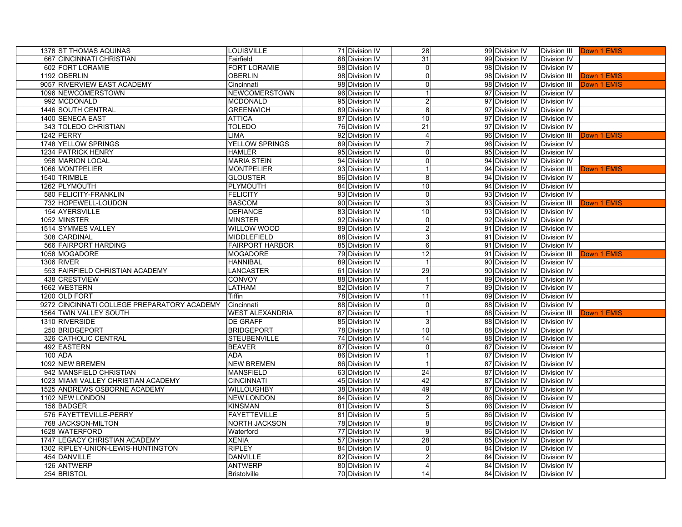| 1378 ST THOMAS AQUINAS                      | LOUISVILLE             | 71 Division IV | 28              | 99 Division IV |                     | Division III <b>Down 1 EMIS</b> |
|---------------------------------------------|------------------------|----------------|-----------------|----------------|---------------------|---------------------------------|
| 667 CINCINNATI CHRISTIAN                    | Fairfield              | 68 Division IV | 31              | 99 Division IV | <b>Division IV</b>  |                                 |
| 602 FORT LORAMIE                            | FORT LORAMIE           | 98 Division IV | $\Omega$        | 98 Division IV | <b>Division IV</b>  |                                 |
| 1192 OBERLIN                                | <b>OBERLIN</b>         | 98 Division IV | $\Omega$        | 98 Division IV | <b>Division III</b> | Down 1 EMIS                     |
| 9057 RIVERVIEW EAST ACADEMY                 | Cincinnati             | 98 Division IV | $\Omega$        | 98 Division IV | <b>Division III</b> | Down 1 EMIS                     |
| 1096 NEWCOMERSTOWN                          | NEWCOMERSTOWN          | 96 Division IV | 1               | 97 Division IV | <b>Division IV</b>  |                                 |
| 992 MCDONALD                                | <b>MCDONALD</b>        | 95 Division IV | $\overline{2}$  | 97 Division IV | <b>Division IV</b>  |                                 |
| 1446 SOUTH CENTRAL                          | <b>GREENWICH</b>       | 89 Division IV | 8 <sup>1</sup>  | 97 Division IV | <b>Division IV</b>  |                                 |
| 1400 SENECA EAST                            | <b>ATTICA</b>          | 87 Division IV | 10              | 97 Division IV | <b>Division IV</b>  |                                 |
| 343 TOLEDO CHRISTIAN                        | <b>TOLEDO</b>          | 76 Division IV | $\overline{21}$ | 97 Division IV | <b>Division IV</b>  |                                 |
| 1242 PERRY                                  | LIMA                   | 92 Division IV | $\overline{4}$  | 96 Division IV | <b>Division III</b> | Down 1 EMIS                     |
| 1748 YELLOW SPRINGS                         | <b>YELLOW SPRINGS</b>  | 89 Division IV | 7               | 96 Division IV | <b>Division IV</b>  |                                 |
| 1234 PATRICK HENRY                          | <b>HAMLER</b>          | 95 Division IV | $\overline{0}$  | 95 Division IV | <b>Division IV</b>  |                                 |
| 958 MARION LOCAL                            | <b>MARIA STEIN</b>     | 94 Division IV | $\overline{0}$  | 94 Division IV | <b>Division IV</b>  |                                 |
| 1066 MONTPELIER                             | <b>MONTPELIER</b>      | 93 Division IV | $\mathbf{1}$    | 94 Division IV | <b>Division III</b> | Down 1 EMIS                     |
| 1540 TRIMBLE                                | <b>GLOUSTER</b>        | 86 Division IV | 8 <sup>1</sup>  | 94 Division IV | <b>Division IV</b>  |                                 |
| 1262 PLYMOUTH                               | PLYMOUTH               | 84 Division IV | 10              | 94 Division IV | <b>Division IV</b>  |                                 |
| 580 FELICITY-FRANKLIN                       | <b>FELICITY</b>        | 93 Division IV | $\overline{0}$  | 93 Division IV | <b>Division IV</b>  |                                 |
| 732 HOPEWELL-LOUDON                         | <b>BASCOM</b>          | 90 Division IV | 3 <sup>1</sup>  | 93 Division IV | <b>Division III</b> | Down 1 EMIS                     |
| 154 AYERSVILLE                              | <b>DEFIANCE</b>        | 83 Division IV | 10              | 93 Division IV | <b>Division IV</b>  |                                 |
| 1052 MINSTER                                | <b>MINSTER</b>         | 92 Division IV | $\overline{0}$  | 92 Division IV | <b>Division IV</b>  |                                 |
| 1514 SYMMES VALLEY                          | <b>WILLOW WOOD</b>     | 89 Division IV | $\overline{2}$  | 91 Division IV | <b>Division IV</b>  |                                 |
| 308 CARDINAL                                | MIDDLEFIELD            | 88 Division IV | 3               | 91 Division IV | <b>Division IV</b>  |                                 |
| 566 FAIRPORT HARDING                        | <b>FAIRPORT HARBOR</b> | 85 Division IV | $6 \,$          | 91 Division IV | <b>Division IV</b>  |                                 |
| 1058 MOGADORE                               | <b>MOGADORE</b>        | 79 Division IV | 12              | 91 Division IV | <b>Division III</b> | Down 1 EMIS                     |
| 1306 RIVER                                  | <b>HANNIBAL</b>        | 89 Division IV | $\mathbf{1}$    | 90 Division IV | <b>Division IV</b>  |                                 |
| 553 FAIRFIELD CHRISTIAN ACADEMY             | LANCASTER              | 61 Division IV | 29              | 90 Division IV | <b>Division IV</b>  |                                 |
| 438 CRESTVIEW                               | CONVOY                 | 88 Division IV | $\mathbf{1}$    | 89 Division IV | <b>Division IV</b>  |                                 |
| 1662 WESTERN                                | LATHAM                 | 82 Division IV | $\overline{7}$  | 89 Division IV | Division IV         |                                 |
| 1200 OLD FORT                               | Tiffin                 | 78 Division IV | 11              | 89 Division IV | <b>Division IV</b>  |                                 |
| 9272 CINCINNATI COLLEGE PREPARATORY ACADEMY | Cincinnati             | 88 Division IV | $\Omega$        | 88 Division IV | <b>Division IV</b>  |                                 |
| 1564 TWIN VALLEY SOUTH                      | <b>WEST ALEXANDRIA</b> | 87 Division IV | 1               | 88 Division IV | <b>Division III</b> | Down 1 EMIS                     |
| 1310 RIVERSIDE                              | DE GRAFF               | 85 Division IV | $\overline{3}$  | 88 Division IV | <b>Division IV</b>  |                                 |
| 250 BRIDGEPORT                              | <b>BRIDGEPORT</b>      | 78 Division IV | 10              | 88 Division IV | <b>Division IV</b>  |                                 |
| 326 CATHOLIC CENTRAL                        | <b>STEUBENVILLE</b>    | 74 Division IV | 14              | 88 Division IV | <b>Division IV</b>  |                                 |
| 492 EASTERN                                 | <b>BEAVER</b>          | 87 Division IV | $\mathbf 0$     | 87 Division IV | <b>Division IV</b>  |                                 |
| 100 ADA                                     | <b>ADA</b>             | 86 Division IV | $\mathbf{1}$    | 87 Division IV | <b>Division IV</b>  |                                 |
| 1092 NEW BREMEN                             | <b>NEW BREMEN</b>      | 86 Division IV | $\mathbf{1}$    | 87 Division IV | Division IV         |                                 |
| 942 MANSFIELD CHRISTIAN                     | <b>MANSFIELD</b>       | 63 Division IV | 24              | 87 Division IV | <b>Division IV</b>  |                                 |
| 1023 MIAMI VALLEY CHRISTIAN ACADEMY         | <b>CINCINNATI</b>      | 45 Division IV | 42              | 87 Division IV | Division IV         |                                 |
| 1525 ANDREWS OSBORNE ACADEMY                | WILLOUGHBY             | 38 Division IV | 49              | 87 Division IV | <b>Division IV</b>  |                                 |
| 1102 NEW LONDON                             | <b>NEW LONDON</b>      | 84 Division IV | $\overline{2}$  | 86 Division IV | <b>Division IV</b>  |                                 |
| 156 BADGER                                  | <b>KINSMAN</b>         | 81 Division IV | 5               | 86 Division IV | Division IV         |                                 |
| 576 FAYETTEVILLE-PERRY                      | <b>FAYETTEVILLE</b>    | 81 Division IV | 5 <sub>l</sub>  | 86 Division IV | <b>Division IV</b>  |                                 |
| 768 JACKSON-MILTON                          | <b>NORTH JACKSON</b>   | 78 Division IV | 8               | 86 Division IV | <b>Division IV</b>  |                                 |
| 1628 WATERFORD                              | Waterford              | 77 Division IV | $\overline{9}$  | 86 Division IV | <b>Division IV</b>  |                                 |
| 1747 LEGACY CHRISTIAN ACADEMY               | <b>XENIA</b>           | 57 Division IV | 28              | 85 Division IV | <b>Division IV</b>  |                                 |
| 1302 RIPLEY-UNION-LEWIS-HUNTINGTON          | <b>RIPLEY</b>          | 84 Division IV | $\overline{0}$  | 84 Division IV | <b>Division IV</b>  |                                 |
| 454 DANVILLE                                | <b>DANVILLE</b>        | 82 Division IV | $\overline{2}$  | 84 Division IV | <b>Division IV</b>  |                                 |
| 126 ANTWERP                                 | <b>ANTWERP</b>         | 80 Division IV | $\overline{4}$  | 84 Division IV | Division IV         |                                 |
| 254 BRISTOL                                 | <b>Bristolville</b>    | 70 Division IV | 14              | 84 Division IV | Division IV         |                                 |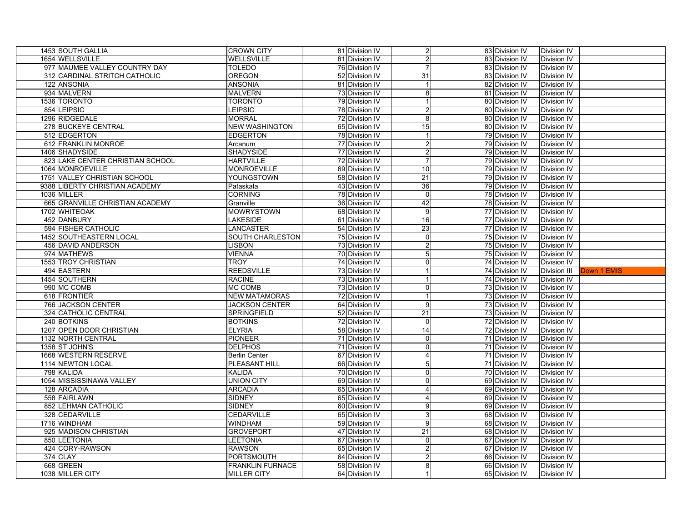|          | 1453 SOUTH GALLIA                | <b>CROWN CITY</b>                             | 81 Division IV                   | $\overline{2}$ | 83 Division IV                   | <b>Division IV</b>         |             |
|----------|----------------------------------|-----------------------------------------------|----------------------------------|----------------|----------------------------------|----------------------------|-------------|
|          | 1654 WELLSVILLE                  | WELLSVILLE                                    | 81 Division IV                   | $\overline{a}$ | 83 Division IV                   | Division IV                |             |
|          | 977 MAUMEE VALLEY COUNTRY DAY    | <b>TOLEDO</b>                                 | 76 Division IV                   | $\overline{7}$ | 83 Division IV                   | Division IV                |             |
|          | 312 CARDINAL STRITCH CATHOLIC    | <b>OREGON</b>                                 | 52 Division IV                   | 31             | 83 Division IV                   | Division IV                |             |
|          | 122 ANSONIA                      | <b>ANSONIA</b>                                | 81 Division IV                   | $\mathbf{1}$   | 82 Division IV                   | Division IV                |             |
|          | 934 MALVERN                      | <b>MALVERN</b>                                | 73 Division IV                   | 8              | 81 Division IV                   | Division IV                |             |
|          | 1536 TORONTO                     | <b>TORONTO</b>                                | 79 Division IV                   | $\mathbf{1}$   | 80 Division IV                   | Division IV                |             |
|          | 854 LEIPSIC                      | LEIPSIC                                       | 78 Division IV                   | $\overline{2}$ | 80 Division IV                   | Division IV                |             |
|          | 1296 RIDGEDALE                   | <b>MORRAL</b>                                 | 72 Division IV                   | 8              | 80 Division IV                   | Division IV                |             |
|          | 278 BUCKEYE CENTRAL              | <b>NEW WASHINGTON</b>                         | 65 Division IV                   | 15             | 80 Division IV                   | Division IV                |             |
|          | 512 EDGERTON                     | <b>EDGERTON</b>                               | 78 Division IV                   | $\mathbf{1}$   | 79 Division IV                   | Division IV                |             |
|          | 612 FRANKLIN MONROE              | Arcanum                                       | 77 Division IV                   | $\overline{c}$ | 79 Division IV                   | Division IV                |             |
|          | 1406 SHADYSIDE                   | <b>SHADYSIDE</b>                              | 77 Division IV                   | $\overline{2}$ | 79 Division IV                   | Division IV                |             |
|          | 823 LAKE CENTER CHRISTIAN SCHOOL | <b>HARTVILLE</b>                              | 72 Division IV                   | 7              | 79 Division IV                   | Division IV                |             |
|          | 1064 MONROEVILLE                 | <b>MONROEVILLE</b>                            | 69 Division IV                   | 10             | 79 Division IV                   | Division IV                |             |
|          | 1751 VALLEY CHRISTIAN SCHOOL     | YOUNGSTOWN                                    | 58 Division IV                   | 21             | 79 Division IV                   | Division IV                |             |
|          | 9388 LIBERTY CHRISTIAN ACADEMY   | Pataskala                                     | 43 Division IV                   | 36             | 79 Division IV                   | Division IV                |             |
|          | 1036 MILLER                      | <b>CORNING</b>                                | 78 Division IV                   | $\Omega$       | 78 Division IV                   | Division IV                |             |
|          | 665 GRANVILLE CHRISTIAN ACADEMY  | Granville                                     | 36 Division IV                   | 42             | 78 Division IV                   | Division IV                |             |
|          | 1702 WHITEOAK                    | <b>MOWRYSTOWN</b>                             | 68 Division IV                   | 9              | 77 Division IV                   | Division IV                |             |
|          | 452 DANBURY                      | <b>LAKESIDE</b>                               | 61 Division IV                   | 16             | 77 Division IV                   | Division IV                |             |
|          | 594 FISHER CATHOLIC              | <b>LANCASTER</b>                              | 54 Division IV                   | 23             | 77 Division IV                   | Division IV                |             |
|          | 1452 SOUTHEASTERN LOCAL          | <b>SOUTH CHARLESTON</b>                       | 75 Division IV                   | $\mathbf 0$    | 75 Division IV                   | Division IV                |             |
|          | 456 DAVID ANDERSON               | <b>LISBON</b>                                 | 73 Division IV                   | $\overline{c}$ | 75 Division IV                   | Division IV                |             |
|          | 974 MATHEWS                      | <b>VIENNA</b>                                 | 70 Division IV                   | 5              | 75 Division IV                   | Division IV                |             |
|          | 1553 TROY CHRISTIAN              | TROY                                          |                                  | $\overline{0}$ |                                  | Division IV                |             |
|          |                                  |                                               |                                  |                |                                  |                            |             |
|          | 494 EASTERN                      | <b>REEDSVILLE</b>                             | 74 Division IV<br>73 Division IV | $\mathbf{1}$   | 74 Division IV<br>74 Division IV | Division III               | Down 1 EMIS |
|          | 1454 SOUTHERN                    | <b>RACINE</b>                                 | 73 Division IV                   | 1              | 74 Division IV                   | Division IV                |             |
|          | 990 MC COMB                      | MC COMB                                       | 73 Division IV                   | $\overline{0}$ | 73 Division IV                   | Division IV                |             |
|          | 618 FRONTIER                     |                                               |                                  | $\mathbf{1}$   |                                  | Division IV                |             |
|          | 766 JACKSON CENTER               | <b>NEW MATAMORAS</b><br><b>JACKSON CENTER</b> | 72 Division IV<br>64 Division IV | g              | 73 Division IV<br>73 Division IV | Division IV                |             |
|          | 324 CATHOLIC CENTRAL             | SPRINGFIELD                                   | 52 Division IV                   | 21             | 73 Division IV                   | Division IV                |             |
|          | 240 BOTKINS                      | <b>BOTKINS</b>                                | 72 Division IV                   | $\overline{0}$ | 72 Division IV                   | Division IV                |             |
|          | 1207 OPEN DOOR CHRISTIAN         | <b>ELYRIA</b>                                 | 58 Division IV                   | 14             | 72 Division IV                   | Division IV                |             |
|          | 1132 NORTH CENTRAL               | PIONEER                                       | 71 Division IV                   | $\overline{0}$ | 71 Division IV                   | Division IV                |             |
|          | 1358 ST JOHN'S                   | <b>DELPHOS</b>                                | 71 Division IV                   | $\mathbf 0$    | 71 Division IV                   | Division IV                |             |
|          | 1668 WESTERN RESERVE             | <b>Berlin Center</b>                          | 67 Division IV                   | $\overline{4}$ | 71 Division IV                   | Division IV                |             |
|          | 1114 NEWTON LOCAL                | PLEASANT HILL                                 | 66 Division IV                   | 5              | 71 Division IV                   | Division IV                |             |
|          | 798 KALIDA                       | <b>KALIDA</b>                                 | 70 Division IV                   | $\Omega$       | 70 Division IV                   | Division IV                |             |
|          | 1054 MISSISSINAWA VALLEY         | <b>UNION CITY</b>                             | 69 Division IV                   | $\overline{0}$ | 69 Division IV                   | Division IV                |             |
|          | 128 ARCADIA                      | <b>ARCADIA</b>                                | 65 Division IV                   | $\overline{4}$ | 69 Division IV                   | Division IV                |             |
|          | 558 FAIRLAWN                     | <b>SIDNEY</b>                                 | 65 Division IV                   | 4              | 69 Division IV                   | Division IV                |             |
|          | 852 LEHMAN CATHOLIC              | <b>SIDNEY</b>                                 | 60 Division IV                   | 9              | 69 Division IV                   | Division IV                |             |
|          | 328 CEDARVILLE                   | <b>CEDARVILLE</b>                             | 65 Division IV                   | 3              | 68 Division IV                   | Division IV                |             |
|          | 1716 WINDHAM                     | <b>WINDHAM</b>                                | 59 Division IV                   | 9              | 68 Division IV                   | Division IV                |             |
|          | 925 MADISON CHRISTIAN            | <b>GROVEPORT</b>                              | 47 Division IV                   | 21             | 68 Division IV                   | Division IV                |             |
|          | 850 LEETONIA                     | LEETONIA                                      | 67 Division IV                   | $\mathbf 0$    | 67 Division IV                   | Division IV                |             |
|          | 424 CORY-RAWSON                  | <b>RAWSON</b>                                 | 65 Division IV                   | $\overline{c}$ | 67 Division IV                   | Division IV                |             |
| 374 CLAY |                                  | PORTSMOUTH                                    | 64 Division IV                   | $\overline{c}$ | 66 Division IV                   | Division IV                |             |
|          | 668 GREEN<br>1038 MILLER CITY    | <b>FRANKLIN FURNACE</b><br><b>MILLER CITY</b> | 58 Division IV<br>64 Division IV | 8<br>$\vert$ 1 | 66 Division IV<br>65 Division IV | Division IV<br>Division IV |             |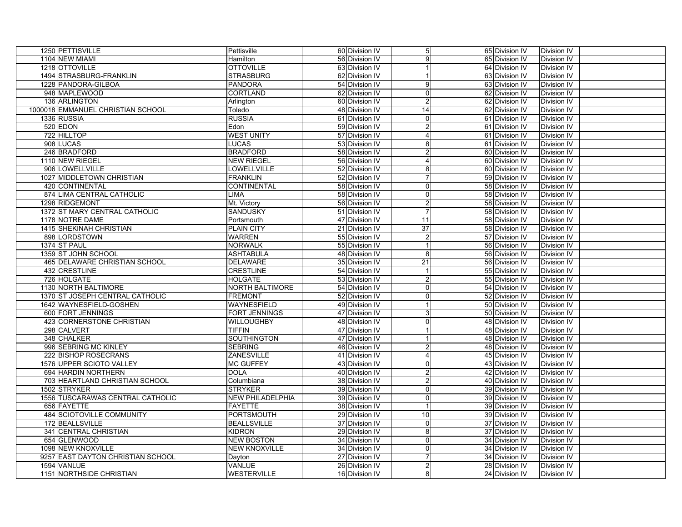| 1250 PETTISVILLE                  | Pettisville            | 60 Division IV                   | 5 <sub>l</sub>                | 65 Division IV | <b>Division IV</b>         |  |
|-----------------------------------|------------------------|----------------------------------|-------------------------------|----------------|----------------------------|--|
| 1104 NEW MIAMI                    | Hamilton               | 56 Division IV                   | 9                             | 65 Division IV | Division IV                |  |
| 1218 OTTOVILLE                    | <b>OTTOVILLE</b>       | 63 Division IV                   | $\mathbf{1}$                  | 64 Division IV | Division IV                |  |
| 1494 STRASBURG-FRANKLIN           | <b>STRASBURG</b>       | 62 Division IV                   | $\mathbf{1}$                  | 63 Division IV | Division IV                |  |
| 1228 PANDORA-GILBOA               | <b>PANDORA</b>         | 54 Division IV                   | 9                             | 63 Division IV | Division IV                |  |
| 948 MAPLEWOOD                     | <b>CORTLAND</b>        | 62 Division IV                   | $\mathbf 0$                   | 62 Division IV | Division IV                |  |
| 136 ARLINGTON                     | Arlington              | 60 Division IV                   | $\overline{c}$                | 62 Division IV | <b>Division IV</b>         |  |
| 1000018 EMMANUEL CHRISTIAN SCHOOL | Toledo                 | 48 Division IV                   | 14                            | 62 Division IV | Division IV                |  |
| 1336 RUSSIA                       | <b>RUSSIA</b>          | 61 Division IV                   | $\mathbf 0$                   | 61 Division IV | Division IV                |  |
| 520 EDON                          | Edon                   | 59 Division IV                   | $\overline{c}$                | 61 Division IV | Division IV                |  |
| 722 HILLTOP                       | <b>WEST UNITY</b>      | 57 Division IV                   | $\overline{4}$                | 61 Division IV | Division IV                |  |
| 908 LUCAS                         | <b>LUCAS</b>           | 53 Division IV                   | 8                             | 61 Division IV | Division IV                |  |
| 246 BRADFORD                      | <b>BRADFORD</b>        | 58 Division IV                   | $\overline{c}$                | 60 Division IV | Division IV                |  |
| 1110 NEW RIEGEL                   | <b>NEW RIEGEL</b>      | 56 Division IV                   | $\overline{4}$                | 60 Division IV | Division IV                |  |
| 906 LOWELLVILLE                   | LOWELLVILLE            | 52 Division IV                   | 8                             | 60 Division IV | Division IV                |  |
| 1027 MIDDLETOWN CHRISTIAN         | <b>FRANKLIN</b>        | 52 Division IV                   | $\overline{7}$                | 59 Division IV | Division IV                |  |
| 420 CONTINENTAL                   | <b>CONTINENTAL</b>     | 58 Division IV                   | $\mathbf 0$                   | 58 Division IV | Division IV                |  |
| 874 LIMA CENTRAL CATHOLIC         | <b>LIMA</b>            | 58 Division IV                   | $\mathbf 0$                   | 58 Division IV | Division IV                |  |
| 1298 RIDGEMONT                    | Mt. Victory            | 56 Division IV                   | $\overline{c}$                | 58 Division IV | Division IV                |  |
| 1372 ST MARY CENTRAL CATHOLIC     | <b>SANDUSKY</b>        | 51 Division IV                   | 7                             | 58 Division IV | Division IV                |  |
| 1178 NOTRE DAME                   | Portsmouth             | 47 Division IV                   | 11                            | 58 Division IV | Division IV                |  |
| 1415 SHEKINAH CHRISTIAN           | <b>PLAIN CITY</b>      | 21 Division IV                   | $\overline{37}$               | 58 Division IV | Division IV                |  |
| 898 LORDSTOWN                     | <b>WARREN</b>          | 55 Division IV                   | $\overline{2}$                | 57 Division IV | Division IV                |  |
| 1374 ST PAUL                      | <b>NORWALK</b>         | 55 Division IV                   |                               | 56 Division IV | Division IV                |  |
| 1359 ST JOHN SCHOOL               | <b>ASHTABULA</b>       | 48 Division IV                   | 8                             | 56 Division IV | Division IV                |  |
| 465 DELAWARE CHRISTIAN SCHOOL     | <b>DELAWARE</b>        | 35 Division IV                   | $\overline{21}$               | 56 Division IV | Division IV                |  |
| 432 CRESTLINE                     | <b>CRESTLINE</b>       | 54 Division IV                   | $\mathbf{1}$                  | 55 Division IV | Division IV                |  |
| 726 HOLGATE                       | <b>HOLGATE</b>         | 53 Division IV                   | $\overline{c}$                | 55 Division IV | Division IV                |  |
| 1130 NORTH BALTIMORE              | <b>NORTH BALTIMORE</b> | 54 Division IV                   | $\mathbf 0$                   | 54 Division IV | Division IV                |  |
| 1370 ST JOSEPH CENTRAL CATHOLIC   | <b>FREMONT</b>         | 52 Division IV                   | $\mathbf 0$                   | 52 Division IV | Division IV                |  |
| 1642 WAYNESFIELD-GOSHEN           | <b>WAYNESFIELD</b>     | 49 Division IV                   | $\mathbf{1}$                  | 50 Division IV | Division IV                |  |
| 600 FORT JENNINGS                 | <b>FORT JENNINGS</b>   | 47 Division IV                   | $\mathsf 3$                   | 50 Division IV | Division IV                |  |
| 423 CORNERSTONE CHRISTIAN         | WILLOUGHBY             | 48 Division IV                   | $\overline{0}$                | 48 Division IV | Division IV                |  |
| 298 CALVERT                       | <b>TIFFIN</b>          | 47 Division IV                   | $\mathbf{1}$                  | 48 Division IV | Division IV                |  |
| 348 CHALKER                       | <b>SOUTHINGTON</b>     | 47 Division IV                   | $\mathbf{1}$                  | 48 Division IV | Division IV                |  |
| 996 SEBRING MC KINLEY             | <b>SEBRING</b>         | 46 Division IV                   | $\overline{c}$                | 48 Division IV | Division IV                |  |
| 222 BISHOP ROSECRANS              | ZANESVILLE             | 41 Division IV                   | $\overline{4}$                | 45 Division IV | Division IV                |  |
| 1576 UPPER SCIOTO VALLEY          | <b>MC GUFFEY</b>       | 43 Division IV                   | $\mathbf 0$                   | 43 Division IV | Division IV                |  |
| 694 HARDIN NORTHERN               | <b>DOLA</b>            |                                  | $\overline{2}$                | 42 Division IV |                            |  |
| 703 HEARTLAND CHRISTIAN SCHOOL    | Columbiana             | 40 Division IV<br>38 Division IV |                               | 40 Division IV | Division IV<br>Division IV |  |
| 1502 STRYKER                      | <b>STRYKER</b>         | 39 Division IV                   | $\overline{c}$<br>$\mathbf 0$ | 39 Division IV | Division IV                |  |
|                                   |                        |                                  |                               |                |                            |  |
| 1556 TUSCARAWAS CENTRAL CATHOLIC  | NEW PHILADELPHIA       | 39 Division IV                   | $\mathbf 0$<br>$\mathbf{1}$   | 39 Division IV | Division IV                |  |
| 656 FAYETTE                       | <b>FAYETTE</b>         | 38 Division IV                   |                               | 39 Division IV | Division IV                |  |
| 484 SCIOTOVILLE COMMUNITY         | <b>PORTSMOUTH</b>      | 29 Division IV                   | $\overline{10}$               | 39 Division IV | Division IV                |  |
| 172 BEALLSVILLE                   | <b>BEALLSVILLE</b>     | 37 Division IV                   | $\mathbf 0$                   | 37 Division IV | Division IV                |  |
| 341 CENTRAL CHRISTIAN             | <b>KIDRON</b>          | 29 Division IV                   | 8                             | 37 Division IV | Division IV                |  |
| 654 GLENWOOD                      | <b>NEW BOSTON</b>      | 34 Division IV                   | $\mathbf 0$                   | 34 Division IV | Division IV                |  |
| 1098 NEW KNOXVILLE                | NEW KNOXVILLE          | 34 Division IV                   | $\mathbf 0$                   | 34 Division IV | <b>Division IV</b>         |  |
| 9257 EAST DAYTON CHRISTIAN SCHOOL | Dayton                 | 27 Division IV                   | $\overline{7}$                | 34 Division IV | Division IV                |  |
| 1594 VANLUE                       | <b>VANLUE</b>          | 26 Division IV                   | $\overline{2}$                | 28 Division IV | Division IV                |  |
| 1151 NORTHSIDE CHRISTIAN          | WESTERVILLE            | 16 Division IV                   | 8                             | 24 Division IV | Division IV                |  |